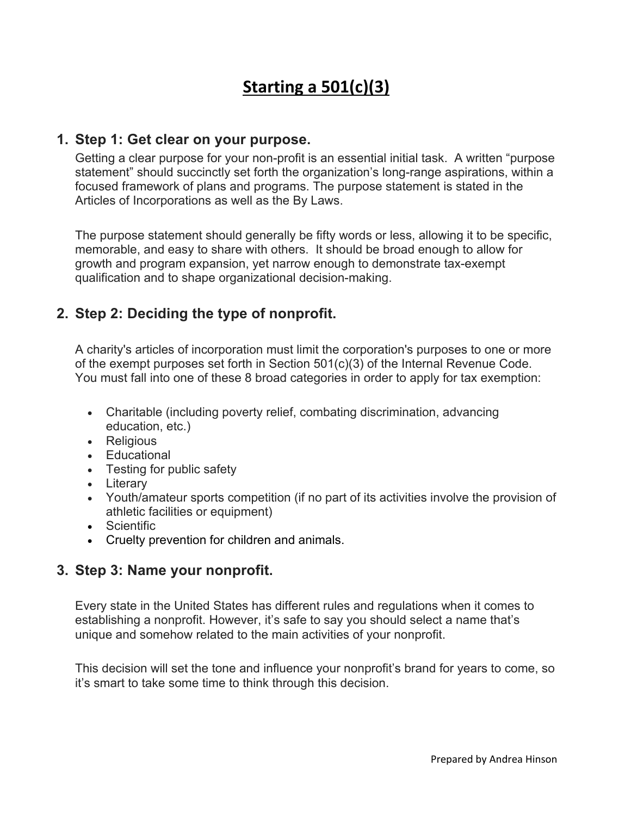# **Starting a 501(c)(3)**

#### **1. Step 1: Get clear on your purpose.**

Getting a clear purpose for your non-profit is an essential initial task. A written "purpose statement" should succinctly set forth the organization's long-range aspirations, within a focused framework of plans and programs. The purpose statement is stated in the Articles of Incorporations as well as the By Laws.

The purpose statement should generally be fifty words or less, allowing it to be specific, memorable, and easy to share with others. It should be broad enough to allow for growth and program expansion, yet narrow enough to demonstrate tax-exempt qualification and to shape organizational decision-making.

## **2. Step 2: Deciding the type of nonprofit.**

A charity's articles of incorporation must limit the corporation's purposes to one or more of the exempt purposes set forth in Section 501(c)(3) of the Internal Revenue Code. You must fall into one of these 8 broad categories in order to apply for tax exemption:

- Charitable (including poverty relief, combating discrimination, advancing education, etc.)
- Religious
- Educational
- Testing for public safety
- Literary
- Youth/amateur sports competition (if no part of its activities involve the provision of athletic facilities or equipment)
- Scientific
- Cruelty prevention for children and animals.

#### **3. Step 3: Name your nonprofit.**

Every state in the United States has different rules and regulations when it comes to establishing a nonprofit. However, it's safe to say you should select a name that's unique and somehow related to the main activities of your nonprofit.

This decision will set the tone and influence your nonprofit's brand for years to come, so it's smart to take some time to think through this decision.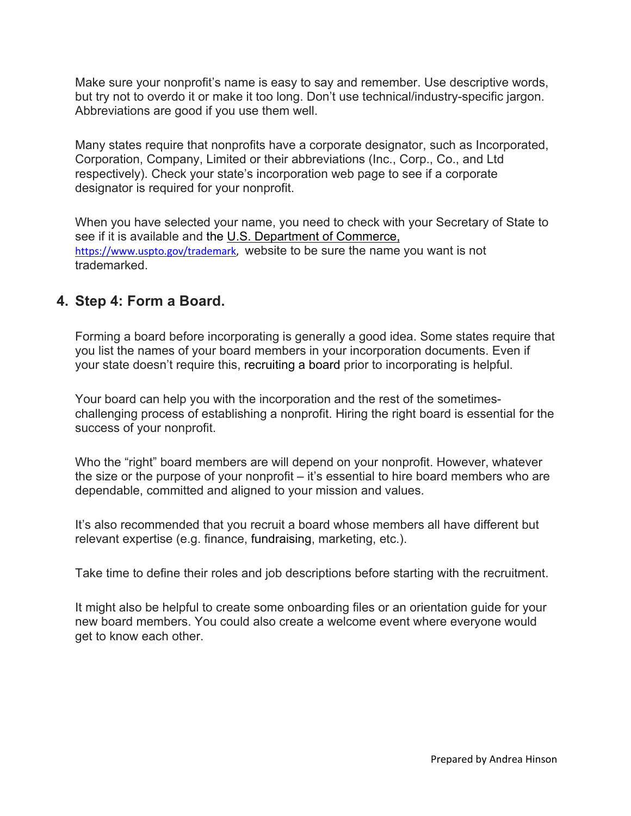Make sure your nonprofit's name is easy to say and remember. Use descriptive words, but try not to overdo it or make it too long. Don't use technical/industry-specific jargon. Abbreviations are good if you use them well.

Many states require that nonprofits have a corporate designator, such as Incorporated, Corporation, Company, Limited or their abbreviations (Inc., Corp., Co., and Ltd respectively). Check your state's incorporation web page to see if a corporate designator is required for your nonprofit.

When you have selected your name, you need to check with your Secretary of State to see if it is available and the U.S. Department of Commerce, https://www.uspto.gov/trademark, website to be sure the name you want is not trademarked.

## **4. Step 4: Form a Board.**

Forming a board before incorporating is generally a good idea. Some states require that you list the names of your board members in your incorporation documents. Even if your state doesn't require this, recruiting a board prior to incorporating is helpful.

Your board can help you with the incorporation and the rest of the sometimeschallenging process of establishing a nonprofit. Hiring the right board is essential for the success of your nonprofit.

Who the "right" board members are will depend on your nonprofit. However, whatever the size or the purpose of your nonprofit – it's essential to hire board members who are dependable, committed and aligned to your mission and values.

It's also recommended that you recruit a board whose members all have different but relevant expertise (e.g. finance, fundraising, marketing, etc.).

Take time to define their roles and job descriptions before starting with the recruitment.

It might also be helpful to create some onboarding files or an orientation guide for your new board members. You could also create a welcome event where everyone would get to know each other.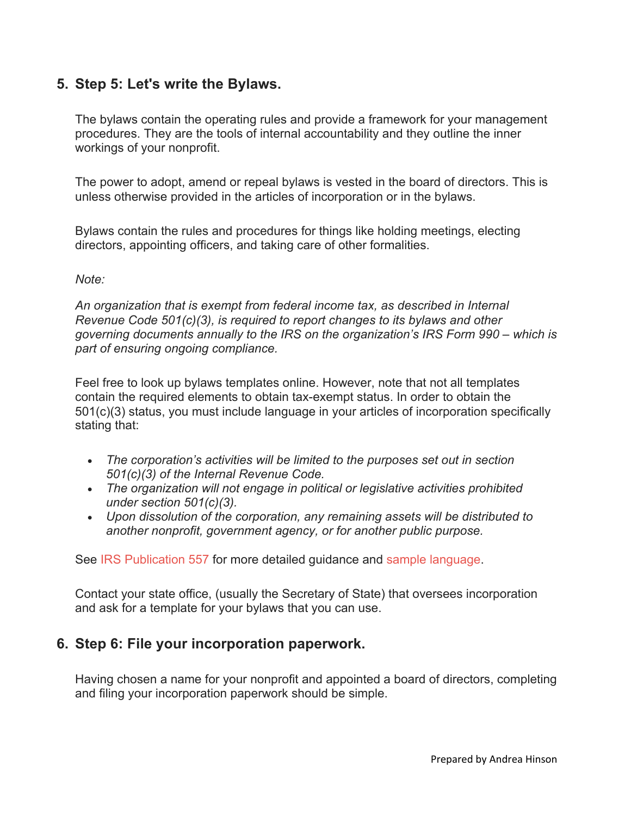## **5. Step 5: Let's write the Bylaws.**

The bylaws contain the operating rules and provide a framework for your management procedures. They are the tools of internal accountability and they outline the inner workings of your nonprofit.

The power to adopt, amend or repeal bylaws is vested in the board of directors. This is unless otherwise provided in the articles of incorporation or in the bylaws.

Bylaws contain the rules and procedures for things like holding meetings, electing directors, appointing officers, and taking care of other formalities.

#### *Note:*

*An organization that is exempt from federal income tax, as described in Internal Revenue Code 501(c)(3), is required to report changes to its bylaws and other governing documents annually to the IRS on the organization's IRS Form 990 – which is part of ensuring ongoing compliance.*

Feel free to look up bylaws templates online. However, note that not all templates contain the required elements to obtain tax-exempt status. In order to obtain the 501(c)(3) status, you must include language in your articles of incorporation specifically stating that:

- *The corporation's activities will be limited to the purposes set out in section 501(c)(3) of the Internal Revenue Code.*
- *The organization will not engage in political or legislative activities prohibited under section 501(c)(3).*
- *Upon dissolution of the corporation, any remaining assets will be distributed to another nonprofit, government agency, or for another public purpose.*

See IRS Publication 557 for more detailed guidance and sample language.

Contact your state office, (usually the Secretary of State) that oversees incorporation and ask for a template for your bylaws that you can use.

#### **6. Step 6: File your incorporation paperwork.**

Having chosen a name for your nonprofit and appointed a board of directors, completing and filing your incorporation paperwork should be simple.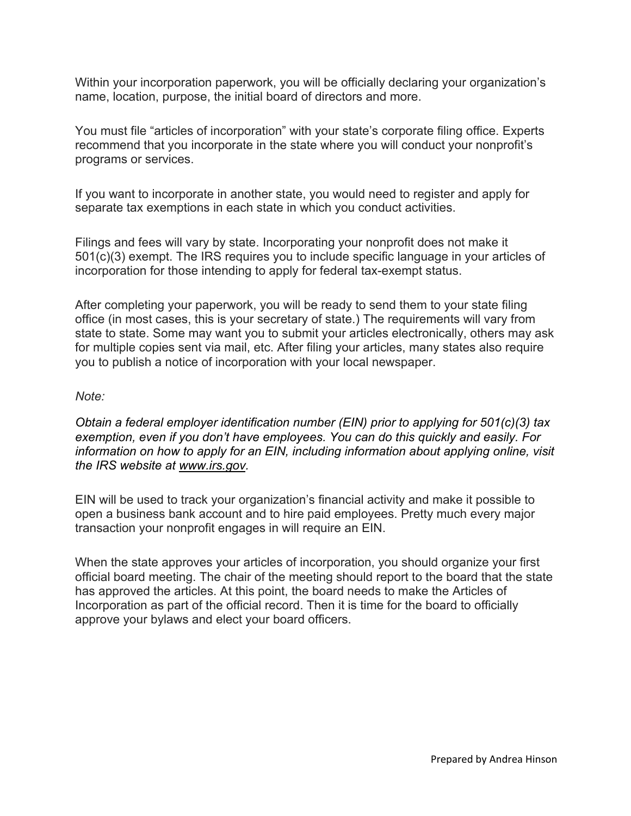Within your incorporation paperwork, you will be officially declaring your organization's name, location, purpose, the initial board of directors and more.

You must file "articles of incorporation" with your state's corporate filing office. Experts recommend that you incorporate in the state where you will conduct your nonprofit's programs or services.

If you want to incorporate in another state, you would need to register and apply for separate tax exemptions in each state in which you conduct activities.

Filings and fees will vary by state. Incorporating your nonprofit does not make it 501(c)(3) exempt. The IRS requires you to include specific language in your articles of incorporation for those intending to apply for federal tax-exempt status.

After completing your paperwork, you will be ready to send them to your state filing office (in most cases, this is your secretary of state.) The requirements will vary from state to state. Some may want you to submit your articles electronically, others may ask for multiple copies sent via mail, etc. After filing your articles, many states also require you to publish a notice of incorporation with your local newspaper.

#### *Note:*

*Obtain a federal employer identification number (EIN) prior to applying for 501(c)(3) tax exemption, even if you don't have employees. You can do this quickly and easily. For information on how to apply for an EIN, including information about applying online, visit the IRS website at www.irs.gov.*

EIN will be used to track your organization's financial activity and make it possible to open a business bank account and to hire paid employees. Pretty much every major transaction your nonprofit engages in will require an EIN.

When the state approves your articles of incorporation, you should organize your first official board meeting. The chair of the meeting should report to the board that the state has approved the articles. At this point, the board needs to make the Articles of Incorporation as part of the official record. Then it is time for the board to officially approve your bylaws and elect your board officers.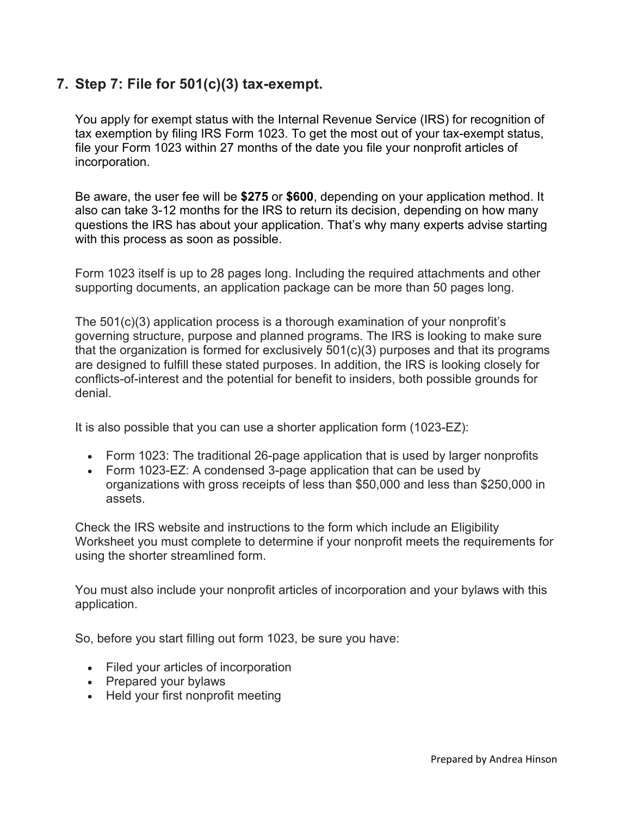# **7. Step 7: File for 501(c)(3) tax-exempt.**

You apply for exempt status with the Internal Revenue Service (IRS) for recognition of tax exemption by filing IRS Form 1023. To get the most out of your tax-exempt status, file your Form 1023 within 27 months of the date you file your nonprofit articles of incorporation.

Be aware, the user fee will be **\$275** or **\$600**, depending on your application method. It also can take 3-12 months for the IRS to return its decision, depending on how many questions the IRS has about your application. That's why many experts advise starting with this process as soon as possible.

Form 1023 itself is up to 28 pages long. Including the required attachments and other supporting documents, an application package can be more than 50 pages long.

The 501(c)(3) application process is a thorough examination of your nonprofit's governing structure, purpose and planned programs. The IRS is looking to make sure that the organization is formed for exclusively 501(c)(3) purposes and that its programs are designed to fulfill these stated purposes. In addition, the IRS is looking closely for conflicts-of-interest and the potential for benefit to insiders, both possible grounds for denial.

It is also possible that you can use a shorter application form (1023-EZ):

- Form 1023: The traditional 26-page application that is used by larger nonprofits
- Form 1023-EZ: A condensed 3-page application that can be used by organizations with gross receipts of less than \$50,000 and less than \$250,000 in assets.

Check the IRS website and instructions to the form which include an Eligibility Worksheet you must complete to determine if your nonprofit meets the requirements for using the shorter streamlined form.

You must also include your nonprofit articles of incorporation and your bylaws with this application.

So, before you start filling out form 1023, be sure you have:

- Filed your articles of incorporation
- Prepared your bylaws
- Held your first nonprofit meeting